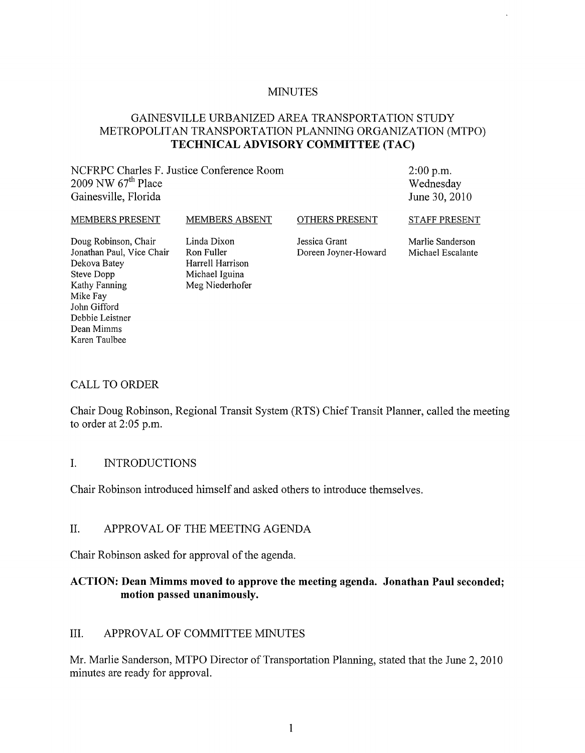#### MINUTES

### GAINESVILLE URBANIZED AREA TRANSPORTATION STUDY METROPOLITAN TRANSPORTATION PLANNING ORGANIZATION (MTPO) **TECHNICAL ADVISORY COMMITTEE (TAC)**

NCFRPC Charles F. Justice Conference Room 2009 NW  $67<sup>th</sup>$  Place Gainesville, Florida

2:00 p.m. Wednesday June 30, 2010

#### MEMBERS PRESENT

Doug Robinson, Chair Jonathan Paul, Vice Chair Dekova Batey Steve Dopp Kathy Fanning Mike Fay John Gifford Debbie Leistner Dean Mimms Karen Taulbee

Linda Dixon Ron Fuller Harrell Harrison Michael Iguina Meg Niederhofer

MEMBERS ABSENT

OTHERS PRESENT

Jessica Grant Doreen Joyner-Howard Marlie Sanderson Michael Escalante

STAFF PRESENT

### CALL TO ORDER

Chair Doug Robinson, Regional Transit System (RTS) Chief Transit Planner, called the meeting to order at 2:05 p.m.

### 1. INTRODUCTIONS

Chair Robinson introduced himself and asked others to introduce themselves.

### II. APPROVAL OF THE MEETING AGENDA

Chair Robinson asked for approval of the agenda.

### **ACTION: Dean Mimms moved to approve the meeting agenda. Jonathan Paul seconded; motion passed unanimously.**

### III. APPROVAL OF COMMITTEE MINUTES

Mr. Marlie Sanderson, MTPO Director of Transportation Planning, stated that the June 2, 2010 minutes are ready for approval.